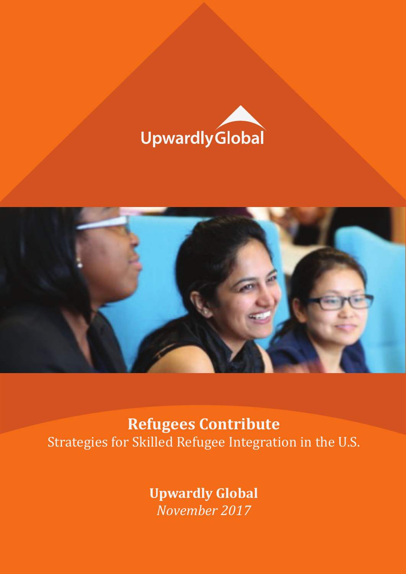



**Refugees Contribute** Strategies for Skilled Refugee Integration in the U.S.

> **Upwardly Global** *November 2017*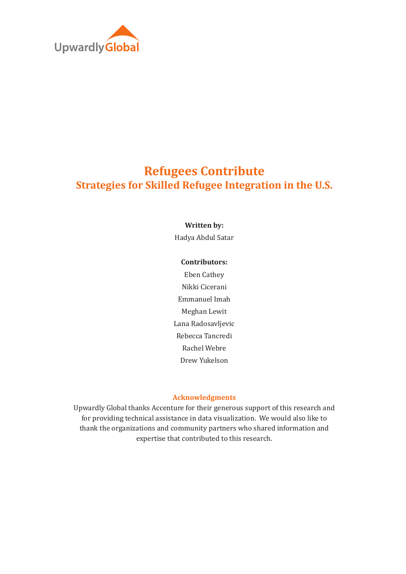

# **Refugees Contribute Strategies for Skilled Refugee Integration in the U.S.**

#### **Written by:**

Hadya Abdul Satar

#### **Contributors:**

Eben Cathey Nikki Cicerani Emmanuel Imah Meghan Lewit Lana Radosavljevic Rebecca Tancredi Rachel Webre Drew Yukelson

#### **Acknowledgments**

Upwardly Global thanks Accenture for their generous support of this research and for providing technical assistance in data visualization. We would also like to thank the organizations and community partners who shared information and expertise that contributed to this research.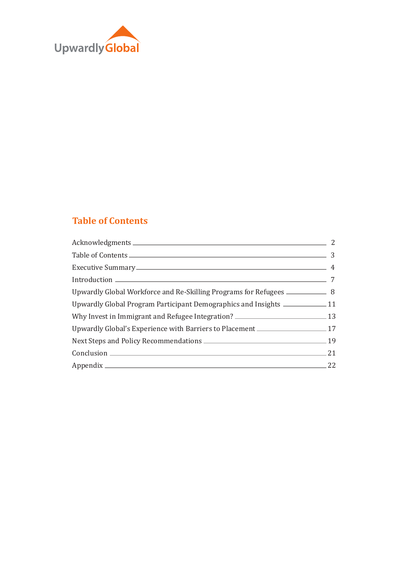

## **Table of Contents**

| Upwardly Global Workforce and Re-Skilling Programs for Refugees _________________ 8  |           |
|--------------------------------------------------------------------------------------|-----------|
| Upwardly Global Program Participant Demographics and Insights ___________________11  |           |
| Why Invest in Immigrant and Refugee Integration? ________________________________ 13 |           |
| Upwardly Global's Experience with Barriers to Placement ________________________17   |           |
|                                                                                      |           |
|                                                                                      | $\sim$ 21 |
| Appendix 22                                                                          |           |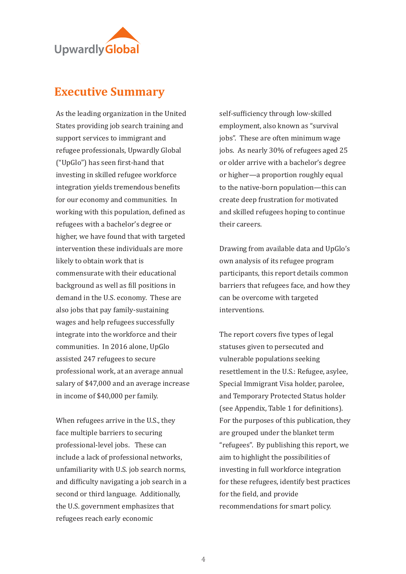

## **Executive Summary**

As the leading organization in the United States providing job search training and support services to immigrant and refugee professionals, Upwardly Global ("UpGlo") has seen �irst-hand that investing in skilled refugee workforce integration vields tremendous benefits for our economy and communities. In working with this population, defined as refugees with a bachelor's degree or higher, we have found that with targeted intervention these individuals are more likely to obtain work that is commensurate with their educational background as well as �ill positions in demand in the U.S. economy. These are also jobs that pay family-sustaining wages and help refugees successfully integrate into the workforce and their communities. In 2016 alone, UpGlo assisted 247 refugees to secure professional work, at an average annual salary of \$47,000 and an average increase in income of \$40,000 per family.

When refugees arrive in the U.S., they face multiple barriers to securing professional-level jobs. These can include a lack of professional networks, unfamiliarity with U.S. job search norms, and difficulty navigating a job search in a second or third language. Additionally, the U.S. government emphasizes that refugees reach early economic

self-sufficiency through low-skilled employment, also known as "survival jobs". These are often minimum wage jobs. As nearly 30% of refugees aged 25 or older arrive with a bachelor's degree or higher—a proportion roughly equal to the native-born population—this can create deep frustration for motivated and skilled refugees hoping to continue their careers.

Drawing from available data and UpGlo's own analysis of its refugee program participants, this report details common barriers that refugees face, and how they can be overcome with targeted interventions.

The report covers five types of legal statuses given to persecuted and vulnerable populations seeking resettlement in the U.S.: Refugee, asylee, Special Immigrant Visa holder, parolee, and Temporary Protected Status holder (see Appendix, Table 1 for definitions). For the purposes of this publication, they are grouped under the blanket term "refugees". By publishing this report, we aim to highlight the possibilities of investing in full workforce integration for these refugees, identify best practices for the field, and provide recommendations for smart policy.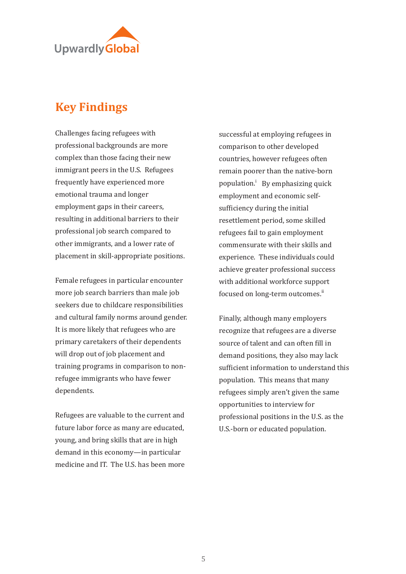

# **Key Findings**

Challenges facing refugees with professional backgrounds are more complex than those facing their new immigrant peers in the U.S. Refugees frequently have experienced more emotional trauma and longer employment gaps in their careers, resulting in additional barriers to their professional job search compared to other immigrants, and a lower rate of placement in skill-appropriate positions.

Female refugees in particular encounter more job search barriers than male job seekers due to childcare responsibilities and cultural family norms around gender. It is more likely that refugees who are primary caretakers of their dependents will drop out of job placement and training programs in comparison to nonrefugee immigrants who have fewer dependents.

Refugees are valuable to the current and future labor force as many are educated, young, and bring skills that are in high demand in this economy—in particular medicine and IT. The U.S. has been more successful at employing refugees in comparison to other developed countries, however refugees often remain poorer than the native-born population.<sup>1</sup> By emphasizing quick employment and economic selfsufficiency during the initial resettlement period, some skilled refugees fail to gain employment commensurate with their skills and experience. These individuals could achieve greater professional success with additional workforce support focused on long-term outcomes.<sup>ii</sup>

Finally, although many employers recognize that refugees are a diverse source of talent and can often �ill in demand positions, they also may lack sufficient information to understand this population. This means that many refugees simply aren't given the same opportunities to interview for professional positions in the U.S. as the U.S.-born or educated population.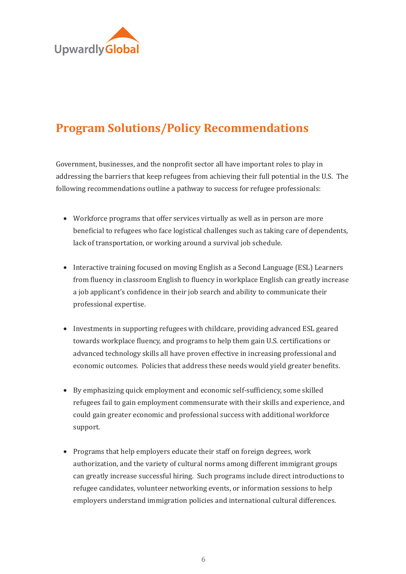

# **Program Solutions/Policy Recommendations**

Government, businesses, and the nonpro�it sector all have important roles to play in addressing the barriers that keep refugees from achieving their full potential in the U.S. The following recommendations outline a pathway to success for refugee professionals:

- Workforce programs that offer services virtually as well as in person are more bene�icial to refugees who face logistical challenges such as taking care of dependents, lack of transportation, or working around a survival job schedule.
- Interactive training focused on moving English as a Second Language (ESL) Learners from fluency in classroom English to fluency in workplace English can greatly increase a job applicant's confidence in their job search and ability to communicate their professional expertise.
- Investments in supporting refugees with childcare, providing advanced ESL geared towards workplace fluency, and programs to help them gain U.S. certifications or advanced technology skills all have proven effective in increasing professional and economic outcomes. Policies that address these needs would yield greater bene�its.
- By emphasizing quick employment and economic self-sufficiency, some skilled refugees fail to gain employment commensurate with their skills and experience, and could gain greater economic and professional success with additional workforce support.
- Programs that help employers educate their staff on foreign degrees, work authorization, and the variety of cultural norms among different immigrant groups can greatly increase successful hiring. Such programs include direct introductions to refugee candidates, volunteer networking events, or information sessions to help employers understand immigration policies and international cultural differences.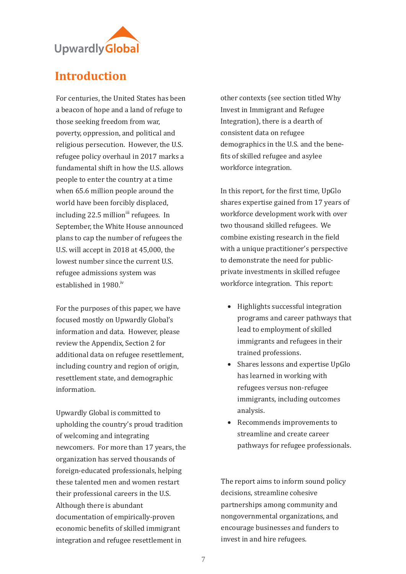

# **Introduction**

For centuries, the United States has been a beacon of hope and a land of refuge to those seeking freedom from war, poverty, oppression, and political and religious persecution. However, the U.S. refugee policy overhaul in 2017 marks a fundamental shift in how the U.S. allows people to enter the country at a time when 65.6 million people around the world have been forcibly displaced, including 22.5 million<sup>iii</sup> refugees. In September, the White House announced plans to cap the number of refugees the U.S. will accept in 2018 at 45,000, the lowest number since the current U.S. refugee admissions system was established in 1980.iv

For the purposes of this paper, we have focused mostly on Upwardly Global's information and data. However, please review the Appendix, Section 2 for additional data on refugee resettlement, including country and region of origin, resettlement state, and demographic information.

Upwardly Global is committed to upholding the country's proud tradition of welcoming and integrating newcomers. For more than 17 years, the organization has served thousands of foreign-educated professionals, helping these talented men and women restart their professional careers in the U.S. Although there is abundant documentation of empirically-proven economic bene�its of skilled immigrant integration and refugee resettlement in

other contexts (see section titled Why Invest in Immigrant and Refugee Integration), there is a dearth of consistent data on refugee demographics in the U.S. and the bene fits of skilled refugee and asylee workforce integration.

In this report, for the �irst time, UpGlo shares expertise gained from 17 years of workforce development work with over two thousand skilled refugees. We combine existing research in the field with a unique practitioner's perspective to demonstrate the need for publicprivate investments in skilled refugee workforce integration. This report:

- Highlights successful integration programs and career pathways that lead to employment of skilled immigrants and refugees in their trained professions.
- Shares lessons and expertise UpGlo has learned in working with refugees versus non-refugee immigrants, including outcomes analysis.
- Recommends improvements to streamline and create career pathways for refugee professionals.

The report aims to inform sound policy decisions, streamline cohesive partnerships among community and nongovernmental organizations, and encourage businesses and funders to invest in and hire refugees.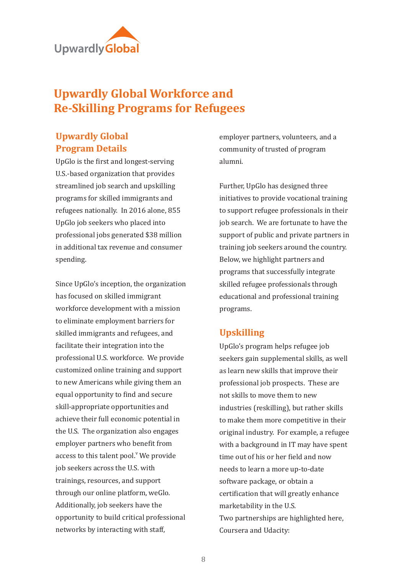

# **Upwardly Global Workforce and Re-Skilling Programs for Refugees**

## **Upwardly Global Program Details**

UpGlo is the �irst and longest-serving U.S.-based organization that provides streamlined job search and upskilling programs for skilled immigrants and refugees nationally. In 2016 alone, 855 UpGlo job seekers who placed into professional jobs generated \$38 million in additional tax revenue and consumer spending.

Since UpGlo's inception, the organization has focused on skilled immigrant workforce development with a mission to eliminate employment barriers for skilled immigrants and refugees, and facilitate their integration into the professional U.S. workforce. We provide customized online training and support to new Americans while giving them an equal opportunity to �ind and secure skill-appropriate opportunities and achieve their full economic potential in the U.S. The organization also engages employer partners who bene�it from access to this talent  $pool.^{v}$  We provide job seekers across the U.S. with trainings, resources, and support through our online platform, weGlo. Additionally, job seekers have the opportunity to build critical professional networks by interacting with staff,

employer partners, volunteers, and a community of trusted of program alumni.

Further, UpGlo has designed three initiatives to provide vocational training to support refugee professionals in their job search. We are fortunate to have the support of public and private partners in training job seekers around the country. Below, we highlight partners and programs that successfully integrate skilled refugee professionals through educational and professional training programs.

#### **Upskilling**

UpGlo's program helps refugee job seekers gain supplemental skills, as well as learn new skills that improve their professional job prospects. These are not skills to move them to new industries (reskilling), but rather skills to make them more competitive in their original industry. For example, a refugee with a background in IT may have spent time out of his or her field and now needs to learn a more up-to-date software package, or obtain a certification that will greatly enhance marketability in the U.S. Two partnerships are highlighted here, Coursera and Udacity: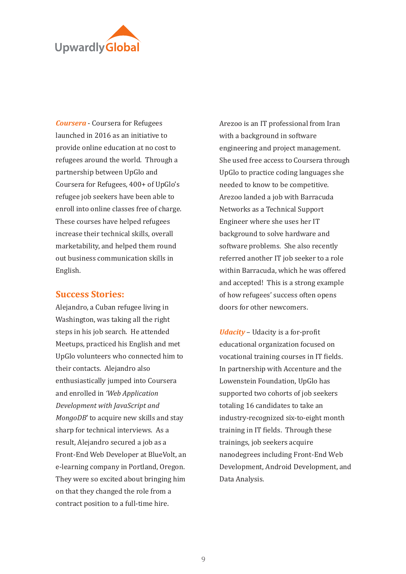

*Coursera* - Coursera for Refugees launched in 2016 as an initiative to provide online education at no cost to refugees around the world. Through a partnership between UpGlo and Coursera for Refugees, 400+ of UpGlo's refugee job seekers have been able to enroll into online classes free of charge. These courses have helped refugees increase their technical skills, overall marketability, and helped them round out business communication skills in English.

#### **Success Stories:**

Alejandro, a Cuban refugee living in Washington, was taking all the right steps in his job search. He attended Meetups, practiced his English and met UpGlo volunteers who connected him to their contacts. Alejandro also enthusiastically jumped into Coursera and enrolled in *'Web Application Development with JavaScript and MongoDB*' to acquire new skills and stay sharp for technical interviews. As a result, Alejandro secured a job as a Front-End Web Developer at BlueVolt, an e-learning company in Portland, Oregon. They were so excited about bringing him on that they changed the role from a contract position to a full-time hire.

Arezoo is an IT professional from Iran with a background in software engineering and project management. She used free access to Coursera through UpGlo to practice coding languages she needed to know to be competitive. Arezoo landed a job with Barracuda Networks as a Technical Support Engineer where she uses her IT background to solve hardware and software problems. She also recently referred another IT job seeker to a role within Barracuda, which he was offered and accepted! This is a strong example of how refugees' success often opens doors for other newcomers.

*Udacity* – Udacity is a for-profit educational organization focused on vocational training courses in IT fields. In partnership with Accenture and the Lowenstein Foundation, UpGlo has supported two cohorts of job seekers totaling 16 candidates to take an industry-recognized six-to-eight month training in IT fields. Through these trainings, job seekers acquire nanodegrees including Front-End Web Development, Android Development, and Data Analysis.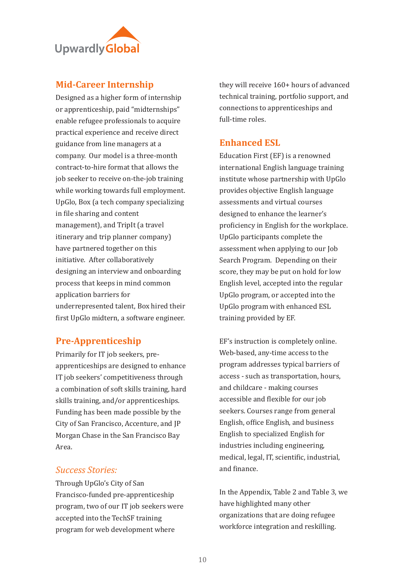

#### **Mid-Career Internship**

Designed as a higher form of internship or apprenticeship, paid "midternships" enable refugee professionals to acquire practical experience and receive direct guidance from line managers at a company. Our model is a three-month contract-to-hire format that allows the job seeker to receive on-the-job training while working towards full employment. UpGlo, Box (a tech company specializing in file sharing and content management), and TripIt (a travel itinerary and trip planner company) have partnered together on this initiative. After collaboratively designing an interview and onboarding process that keeps in mind common application barriers for underrepresented talent, Box hired their first UpGlo midtern, a software engineer.

### **Pre-Apprenticeship**

Primarily for IT job seekers, preapprenticeships are designed to enhance IT job seekers' competitiveness through a combination of soft skills training, hard skills training, and/or apprenticeships. Funding has been made possible by the City of San Francisco, Accenture, and JP Morgan Chase in the San Francisco Bay Area.

#### *Success Stories:*

Through UpGlo's City of San Francisco-funded pre-apprenticeship program, two of our IT job seekers were accepted into the TechSF training program for web development where

they will receive 160+ hours of advanced technical training, portfolio support, and connections to apprenticeships and full-time roles.

#### **Enhanced ESL**

Education First (EF) is a renowned international English language training institute whose partnership with UpGlo provides objective English language assessments and virtual courses designed to enhance the learner's proficiency in English for the workplace. UpGlo participants complete the assessment when applying to our Job Search Program. Depending on their score, they may be put on hold for low English level, accepted into the regular UpGlo program, or accepted into the UpGlo program with enhanced ESL training provided by EF.

EF's instruction is completely online. Web-based, any-time access to the program addresses typical barriers of access - such as transportation, hours, and childcare - making courses accessible and flexible for our job seekers. Courses range from general English, office English, and business English to specialized English for industries including engineering, medical, legal, IT, scientific, industrial, and finance.

In the Appendix, Table 2 and Table 3, we have highlighted many other organizations that are doing refugee workforce integration and reskilling.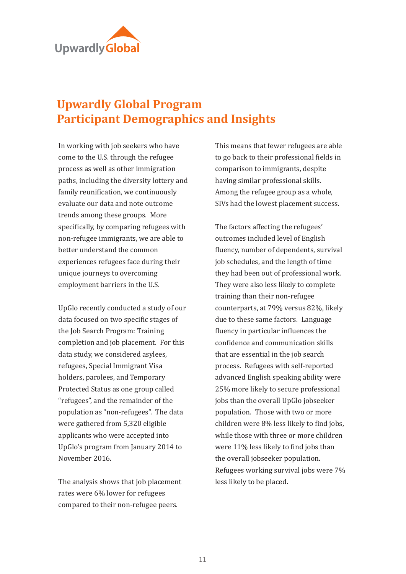

# **Upwardly Global Program Participant Demographics and Insights**

In working with job seekers who have come to the U.S. through the refugee process as well as other immigration paths, including the diversity lottery and family reunification, we continuously evaluate our data and note outcome trends among these groups. More specifically, by comparing refugees with non-refugee immigrants, we are able to better understand the common experiences refugees face during their unique journeys to overcoming employment barriers in the U.S.

UpGlo recently conducted a study of our data focused on two specific stages of the Job Search Program: Training completion and job placement. For this data study, we considered asylees, refugees, Special Immigrant Visa holders, parolees, and Temporary Protected Status as one group called "refugees", and the remainder of the population as "non-refugees". The data were gathered from 5,320 eligible applicants who were accepted into UpGlo's program from January 2014 to November 2016.

The analysis shows that job placement rates were 6% lower for refugees compared to their non-refugee peers.

This means that fewer refugees are able to go back to their professional fields in comparison to immigrants, despite having similar professional skills. Among the refugee group as a whole, SIVs had the lowest placement success.

The factors affecting the refugees' outcomes included level of English fluency, number of dependents, survival job schedules, and the length of time they had been out of professional work. They were also less likely to complete training than their non-refugee counterparts, at 79% versus 82%, likely due to these same factors. Language fluency in particular influences the con�idence and communication skills that are essential in the job search process. Refugees with self-reported advanced English speaking ability were 25% more likely to secure professional jobs than the overall UpGlo jobseeker population. Those with two or more children were 8% less likely to find jobs, while those with three or more children were 11% less likely to find jobs than the overall jobseeker population. Refugees working survival jobs were 7% less likely to be placed.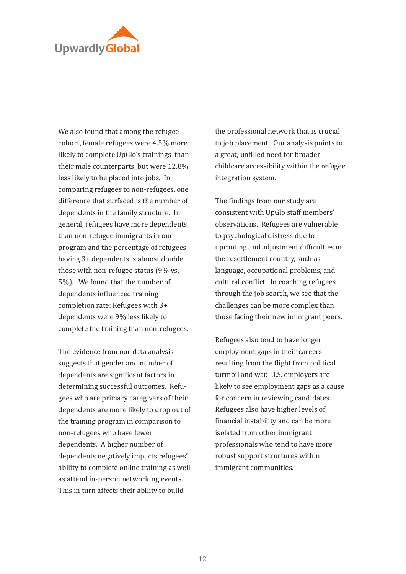

We also found that among the refugee cohort, female refugees were 4.5% more likely to complete UpGlo's trainings than their male counterparts, but were 12.8% less likely to be placed into jobs. In comparing refugees to non-refugees, one difference that surfaced is the number of dependents in the family structure. In general, refugees have more dependents than non-refugee immigrants in our program and the percentage of refugees having 3+ dependents is almost double those with non-refugee status (9% vs. 5%). We found that the number of dependents influenced training completion rate: Refugees with 3+ dependents were 9% less likely to complete the training than non-refugees.

The evidence from our data analysis suggests that gender and number of dependents are significant factors in determining successful outcomes. Refugees who are primary caregivers of their dependents are more likely to drop out of the training program in comparison to non-refugees who have fewer dependents. A higher number of dependents negatively impacts refugees' ability to complete online training as well as attend in-person networking events. This in turn affects their ability to build

the professional network that is crucial to job placement. Our analysis points to a great, un�illed need for broader childcare accessibility within the refugee integration system.

The findings from our study are consistent with UpGlo staff members' observations. Refugees are vulnerable to psychological distress due to uprooting and adjustment difficulties in the resettlement country, such as language, occupational problems, and cultural conflict. In coaching refugees through the job search, we see that the challenges can be more complex than those facing their new immigrant peers.

Refugees also tend to have longer employment gaps in their careers resulting from the flight from political turmoil and war. U.S. employers are likely to see employment gaps as a cause for concern in reviewing candidates. Refugees also have higher levels of financial instability and can be more isolated from other immigrant professionals who tend to have more robust support structures within immigrant communities.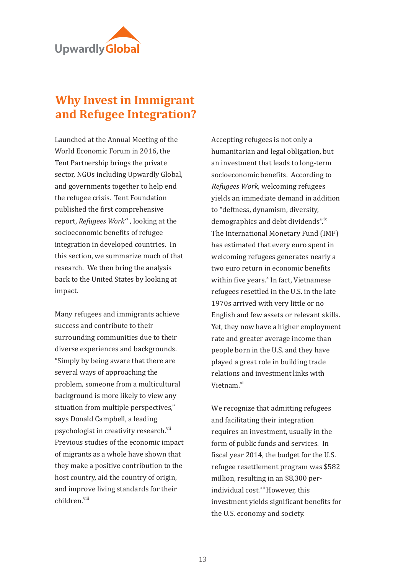

# **Why Invest in Immigrant and Refugee Integration?**

Launched at the Annual Meeting of the World Economic Forum in 2016, the Tent Partnership brings the private sector, NGOs including Upwardly Global, and governments together to help end the refugee crisis. Tent Foundation published the �irst comprehensive report, *Refugees Work*vi , looking at the socioeconomic benefits of refugee integration in developed countries. In this section, we summarize much of that research. We then bring the analysis back to the United States by looking at impact.

Many refugees and immigrants achieve success and contribute to their surrounding communities due to their diverse experiences and backgrounds. "Simply by being aware that there are several ways of approaching the problem, someone from a multicultural background is more likely to view any situation from multiple perspectives," says Donald Campbell, a leading psychologist in creativity research.<sup>vii</sup> Previous studies of the economic impact of migrants as a whole have shown that they make a positive contribution to the host country, aid the country of origin, and improve living standards for their children.viii

Accepting refugees is not only a humanitarian and legal obligation, but an investment that leads to long-term socioeconomic benefits. According to *Refugees Work*, welcoming refugees yields an immediate demand in addition to "deftness, dynamism, diversity, demographics and debt dividends".<sup>1X</sup> The International Monetary Fund (IMF) has estimated that every euro spent in welcoming refugees generates nearly a two euro return in economic benefits within five years.<sup>x</sup> In fact, Vietnamese refugees resettled in the U.S. in the late 1970s arrived with very little or no English and few assets or relevant skills. Yet, they now have a higher employment rate and greater average income than people born in the U.S. and they have played a great role in building trade relations and investment links with Vietnam.<sup>xi</sup>

We recognize that admitting refugees and facilitating their integration requires an investment, usually in the form of public funds and services. In fiscal year 2014, the budget for the U.S. refugee resettlement program was \$582 million, resulting in an \$8,300 perindividual cost.<sup>xii</sup> However, this investment yields significant benefits for the U.S. economy and society.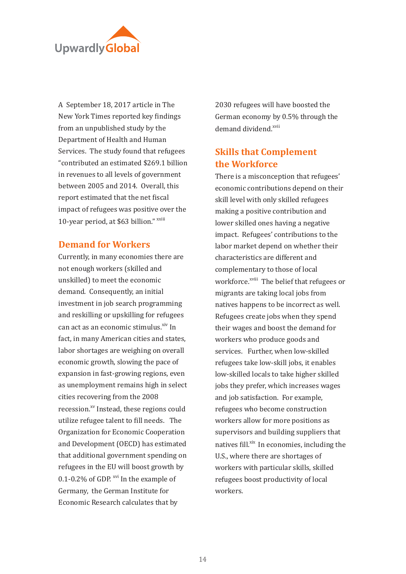

A September 18, 2017 article in The New York Times reported key findings from an unpublished study by the Department of Health and Human Services. The study found that refugees "contributed an estimated \$269.1 billion in revenues to all levels of government between 2005 and 2014. Overall, this report estimated that the net fiscal impact of refugees was positive over the 10-year period, at \$63 billion." xxiii

#### **Demand for Workers**

Currently, in many economies there are not enough workers (skilled and unskilled) to meet the economic demand. Consequently, an initial investment in job search programming and reskilling or upskilling for refugees can act as an economic stimulus.<sup>xiv</sup> In fact, in many American cities and states, labor shortages are weighing on overall economic growth, slowing the pace of expansion in fast-growing regions, even as unemployment remains high in select cities recovering from the 2008 recession.<sup>xv</sup> Instead, these regions could utilize refugee talent to �ill needs. The Organization for Economic Cooperation and Development (OECD) has estimated that additional government spending on refugees in the EU will boost growth by 0.1-0.2% of GDP. <sup>xvi</sup> In the example of Germany, the German Institute for Economic Research calculates that by

2030 refugees will have boosted the German economy by 0.5% through the demand dividend.<sup>xvii</sup>

## **Skills that Complement the Workforce**

There is a misconception that refugees' economic contributions depend on their skill level with only skilled refugees making a positive contribution and lower skilled ones having a negative impact. Refugees' contributions to the labor market depend on whether their characteristics are different and complementary to those of local workforce.<sup>xviii</sup> The belief that refugees or migrants are taking local jobs from natives happens to be incorrect as well. Refugees create jobs when they spend their wages and boost the demand for workers who produce goods and services. Further, when low-skilled refugees take low-skill jobs, it enables low-skilled locals to take higher skilled jobs they prefer, which increases wages and job satisfaction. For example, refugees who become construction workers allow for more positions as supervisors and building suppliers that natives fill.<sup>xix</sup> In economies, including the U.S., where there are shortages of workers with particular skills, skilled refugees boost productivity of local workers.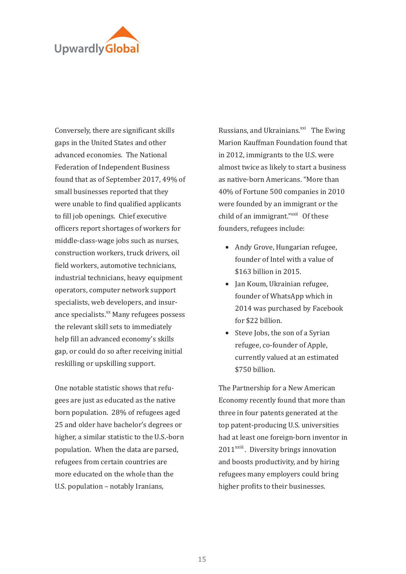

Conversely, there are significant skills gaps in the United States and other advanced economies. The National Federation of Independent Business found that as of September 2017, 49% of small businesses reported that they were unable to find qualified applicants to �ill job openings. Chief executive officers report shortages of workers for middle-class-wage jobs such as nurses, construction workers, truck drivers, oil field workers, automotive technicians, industrial technicians, heavy equipment operators, computer network support specialists, web developers, and insurance specialists.<sup>xx</sup> Many refugees possess the relevant skill sets to immediately help fill an advanced economy's skills gap, or could do so after receiving initial reskilling or upskilling support.

One notable statistic shows that refugees are just as educated as the native born population. 28% of refugees aged 25 and older have bachelor's degrees or higher, a similar statistic to the U.S.-born population. When the data are parsed, refugees from certain countries are more educated on the whole than the U.S. population – notably Iranians,

Russians, and Ukrainians.<sup>xxi</sup> The Ewing Marion Kauffman Foundation found that in 2012, immigrants to the U.S. were almost twice as likely to start a business as native-born Americans. "More than 40% of Fortune 500 companies in 2010 were founded by an immigrant or the child of an immigrant."<sup>xxii</sup> Of these founders, refugees include:

- Andy Grove, Hungarian refugee, founder of Intel with a value of \$163 billion in 2015.
- Jan Koum, Ukrainian refugee, founder of WhatsApp which in 2014 was purchased by Facebook for \$22 billion.
- Steve Jobs, the son of a Syrian refugee, co-founder of Apple, currently valued at an estimated \$750 billion.

The Partnership for a New American Economy recently found that more than three in four patents generated at the top patent-producing U.S. universities had at least one foreign-born inventor in  $2011$ <sup>xxiii</sup>. Diversity brings innovation and boosts productivity, and by hiring refugees many employers could bring higher profits to their businesses.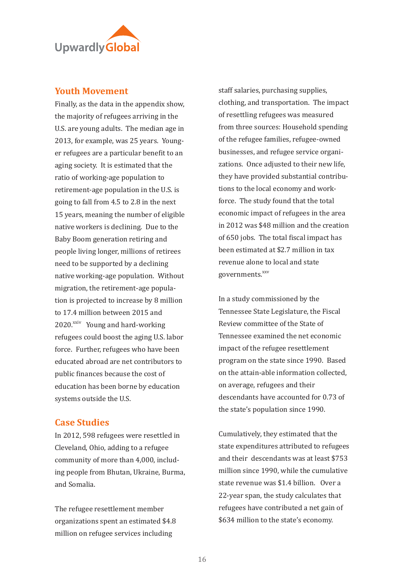

#### **Youth Movement**

Finally, as the data in the appendix show, the majority of refugees arriving in the U.S. are young adults. The median age in 2013, for example, was 25 years. Younger refugees are a particular bene�it to an aging society. It is estimated that the ratio of working-age population to retirement-age population in the U.S. is going to fall from 4.5 to 2.8 in the next 15 years, meaning the number of eligible native workers is declining. Due to the Baby Boom generation retiring and people living longer, millions of retirees need to be supported by a declining native working-age population. Without migration, the retirement-age population is projected to increase by 8 million to 17.4 million between 2015 and 2020.<sup>xxiv</sup> Young and hard-working refugees could boost the aging U.S. labor force. Further, refugees who have been educated abroad are net contributors to public �inances because the cost of education has been borne by education systems outside the U.S.

#### **Case Studies**

In 2012, 598 refugees were resettled in Cleveland, Ohio, adding to a refugee community of more than 4,000, including people from Bhutan, Ukraine, Burma, and Somalia.

The refugee resettlement member organizations spent an estimated \$4.8 million on refugee services including

staff salaries, purchasing supplies, clothing, and transportation. The impact of resettling refugees was measured from three sources: Household spending of the refugee families, refugee-owned businesses, and refugee service organizations. Once adjusted to their new life, they have provided substantial contributions to the local economy and workforce. The study found that the total economic impact of refugees in the area in 2012 was \$48 million and the creation of 650 jobs. The total fiscal impact has been estimated at \$2.7 million in tax revenue alone to local and state governments.<sup>xxv</sup>

In a study commissioned by the Tennessee State Legislature, the Fiscal Review committee of the State of Tennessee examined the net economic impact of the refugee resettlement program on the state since 1990. Based on the attain-able information collected, on average, refugees and their descendants have accounted for 0.73 of the state's population since 1990.

Cumulatively, they estimated that the state expenditures attributed to refugees and their descendants was at least \$753 million since 1990, while the cumulative state revenue was \$1.4 billion. Over a 22-year span, the study calculates that refugees have contributed a net gain of \$634 million to the state's economy.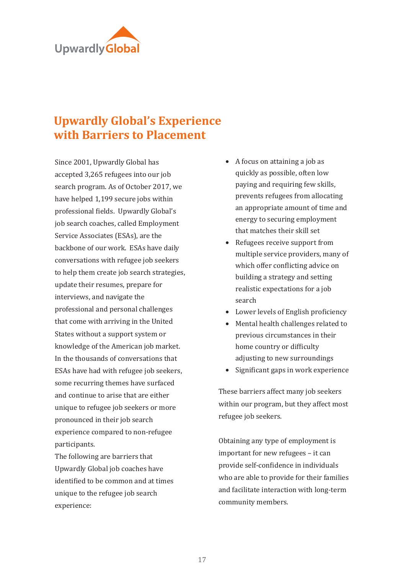

# **Upwardly Global's Experience with Barriers to Placement**

Since 2001, Upwardly Global has accepted 3,265 refugees into our job search program. As of October 2017, we have helped 1,199 secure jobs within professional �ields. Upwardly Global's job search coaches, called Employment Service Associates (ESAs), are the backbone of our work. ESAs have daily conversations with refugee job seekers to help them create job search strategies, update their resumes, prepare for interviews, and navigate the professional and personal challenges that come with arriving in the United States without a support system or knowledge of the American job market. In the thousands of conversations that ESAs have had with refugee job seekers, some recurring themes have surfaced and continue to arise that are either unique to refugee job seekers or more pronounced in their job search experience compared to non-refugee participants.

The following are barriers that Upwardly Global job coaches have identified to be common and at times unique to the refugee job search experience:

- A focus on attaining a job as quickly as possible, often low paying and requiring few skills, prevents refugees from allocating an appropriate amount of time and energy to securing employment that matches their skill set
- Refugees receive support from multiple service providers, many of which offer conflicting advice on building a strategy and setting realistic expectations for a job search
- Lower levels of English proficiency
- Mental health challenges related to previous circumstances in their home country or difficulty adjusting to new surroundings
- Significant gaps in work experience

These barriers affect many job seekers within our program, but they affect most refugee job seekers.

Obtaining any type of employment is important for new refugees – it can provide self-con�idence in individuals who are able to provide for their families and facilitate interaction with long-term community members.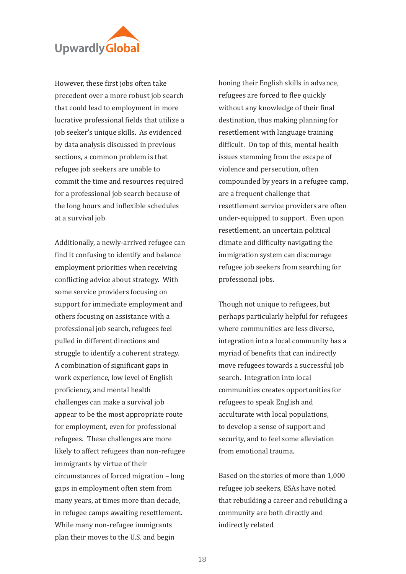

However, these first jobs often take precedent over a more robust job search that could lead to employment in more lucrative professional �ields that utilize a job seeker's unique skills. As evidenced by data analysis discussed in previous sections, a common problem is that refugee job seekers are unable to commit the time and resources required for a professional job search because of the long hours and inflexible schedules at a survival job.

Additionally, a newly-arrived refugee can find it confusing to identify and balance employment priorities when receiving conflicting advice about strategy. With some service providers focusing on support for immediate employment and others focusing on assistance with a professional job search, refugees feel pulled in different directions and struggle to identify a coherent strategy. A combination of signi�icant gaps in work experience, low level of English pro�iciency, and mental health challenges can make a survival job appear to be the most appropriate route for employment, even for professional refugees. These challenges are more likely to affect refugees than non-refugee immigrants by virtue of their circumstances of forced migration – long gaps in employment often stem from many years, at times more than decade, in refugee camps awaiting resettlement. While many non-refugee immigrants plan their moves to the U.S. and begin

honing their English skills in advance, refugees are forced to flee quickly without any knowledge of their final destination, thus making planning for resettlement with language training difficult. On top of this, mental health issues stemming from the escape of violence and persecution, often compounded by years in a refugee camp, are a frequent challenge that resettlement service providers are often under-equipped to support. Even upon resettlement, an uncertain political climate and difficulty navigating the immigration system can discourage refugee job seekers from searching for professional jobs.

Though not unique to refugees, but perhaps particularly helpful for refugees where communities are less diverse, integration into a local community has a myriad of benefits that can indirectly move refugees towards a successful job search. Integration into local communities creates opportunities for refugees to speak English and acculturate with local populations, to develop a sense of support and security, and to feel some alleviation from emotional trauma.

Based on the stories of more than 1,000 refugee job seekers, ESAs have noted that rebuilding a career and rebuilding a community are both directly and indirectly related.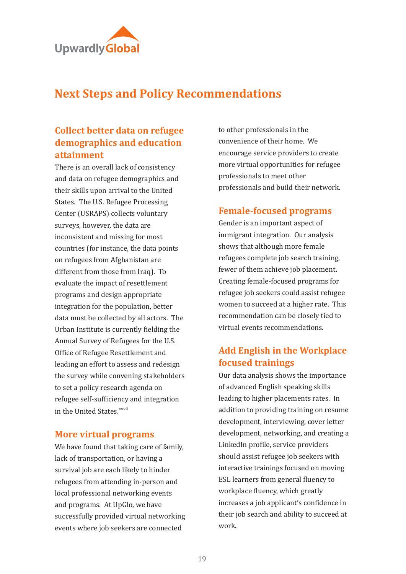

## **Next Steps and Policy Recommendations**

## **Collect better data on refugee demographics and education attainment**

There is an overall lack of consistency and data on refugee demographics and their skills upon arrival to the United States. The U.S. Refugee Processing Center (USRAPS) collects voluntary surveys, however, the data are inconsistent and missing for most countries (for instance, the data points on refugees from Afghanistan are different from those from Iraq). To evaluate the impact of resettlement programs and design appropriate integration for the population, better data must be collected by all actors. The Urban Institute is currently fielding the Annual Survey of Refugees for the U.S. Office of Refugee Resettlement and leading an effort to assess and redesign the survey while convening stakeholders to set a policy research agenda on refugee self-sufficiency and integration in the United States.<sup>xxvii</sup>

#### **More virtual programs**

We have found that taking care of family, lack of transportation, or having a survival job are each likely to hinder refugees from attending in-person and local professional networking events and programs. At UpGlo, we have successfully provided virtual networking events where job seekers are connected

to other professionals in the convenience of their home. We encourage service providers to create more virtual opportunities for refugee professionals to meet other professionals and build their network.

#### **Female-focused programs**

Gender is an important aspect of immigrant integration. Our analysis shows that although more female refugees complete job search training, fewer of them achieve job placement. Creating female-focused programs for refugee job seekers could assist refugee women to succeed at a higher rate. This recommendation can be closely tied to virtual events recommendations.

## **Add English in the Workplace focused trainings**

Our data analysis shows the importance of advanced English speaking skills leading to higher placements rates. In addition to providing training on resume development, interviewing, cover letter development, networking, and creating a LinkedIn pro�ile, service providers should assist refugee job seekers with interactive trainings focused on moving ESL learners from general fluency to workplace fluency, which greatly increases a job applicant's con�idence in their job search and ability to succeed at work.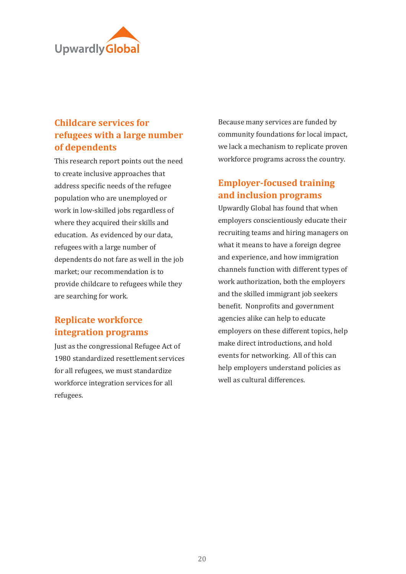

## **Childcare services for refugees with a large number of dependents**

This research report points out the need to create inclusive approaches that address specific needs of the refugee population who are unemployed or work in low-skilled jobs regardless of where they acquired their skills and education. As evidenced by our data, refugees with a large number of dependents do not fare as well in the job market; our recommendation is to provide childcare to refugees while they are searching for work.

## **Replicate workforce integration programs**

Just as the congressional Refugee Act of 1980 standardized resettlement services for all refugees, we must standardize workforce integration services for all refugees.

Because many services are funded by community foundations for local impact, we lack a mechanism to replicate proven workforce programs across the country.

## **Employer-focused training and inclusion programs**

Upwardly Global has found that when employers conscientiously educate their recruiting teams and hiring managers on what it means to have a foreign degree and experience, and how immigration channels function with different types of work authorization, both the employers and the skilled immigrant job seekers benefit. Nonprofits and government agencies alike can help to educate employers on these different topics, help make direct introductions, and hold events for networking. All of this can help employers understand policies as well as cultural differences.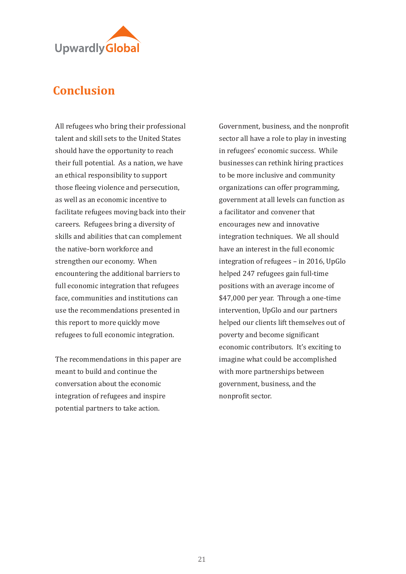

# **Conclusion**

All refugees who bring their professional talent and skill sets to the United States should have the opportunity to reach their full potential. As a nation, we have an ethical responsibility to support those fleeing violence and persecution, as well as an economic incentive to facilitate refugees moving back into their careers. Refugees bring a diversity of skills and abilities that can complement the native-born workforce and strengthen our economy. When encountering the additional barriers to full economic integration that refugees face, communities and institutions can use the recommendations presented in this report to more quickly move refugees to full economic integration.

The recommendations in this paper are meant to build and continue the conversation about the economic integration of refugees and inspire potential partners to take action.

Government, business, and the nonpro�it sector all have a role to play in investing in refugees' economic success. While businesses can rethink hiring practices to be more inclusive and community organizations can offer programming, government at all levels can function as a facilitator and convener that encourages new and innovative integration techniques. We all should have an interest in the full economic integration of refugees – in 2016, UpGlo helped 247 refugees gain full-time positions with an average income of \$47,000 per year. Through a one-time intervention, UpGlo and our partners helped our clients lift themselves out of poverty and become significant economic contributors. It's exciting to imagine what could be accomplished with more partnerships between government, business, and the nonpro�it sector.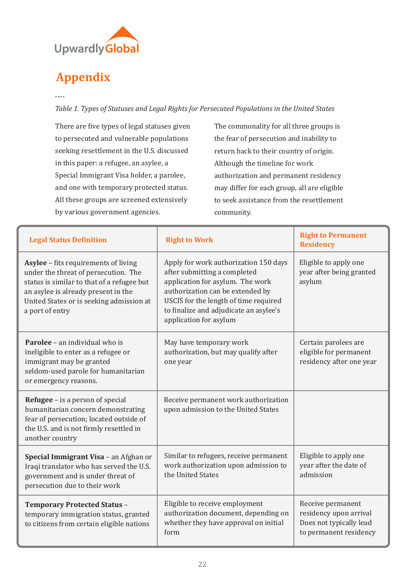

# **Appendix**

----

*Table 1. Types of Statuses and Legal Rights for Persecuted Populations in the United States* 

There are five types of legal statuses given to persecuted and vulnerable populations seeking resettlement in the U.S. discussed in this paper: a refugee, an asylee, a Special Immigrant Visa holder, a parolee, and one with temporary protected status. All these groups are screened extensively by various government agencies.

The commonality for all three groups is the fear of persecution and inability to return back to their country of origin. Although the timeline for work authorization and permanent residency may differ for each group, all are eligible to seek assistance from the resettlement community.

| <b>Legal Status Definition</b>                                                                                                                                                                                                   | <b>Right to Work</b>                                                                                                                                                                                                                                       | <b>Right to Permanent</b><br><b>Residency</b>                                                    |
|----------------------------------------------------------------------------------------------------------------------------------------------------------------------------------------------------------------------------------|------------------------------------------------------------------------------------------------------------------------------------------------------------------------------------------------------------------------------------------------------------|--------------------------------------------------------------------------------------------------|
| Asylee - fits requirements of living<br>under the threat of persecution. The<br>status is similar to that of a refugee but<br>an asylee is already present in the<br>United States or is seeking admission at<br>a port of entry | Apply for work authorization 150 days<br>after submitting a completed<br>application for asylum. The work<br>authorization can be extended by<br>USCIS for the length of time required<br>to finalize and adjudicate an asylee's<br>application for asylum | Eligible to apply one<br>year after being granted<br>asylum                                      |
| <b>Parolee</b> – an individual who is<br>ineligible to enter as a refugee or<br>immigrant may be granted<br>seldom-used parole for humanitarian<br>or emergency reasons.                                                         | May have temporary work<br>authorization, but may qualify after<br>one year                                                                                                                                                                                | Certain parolees are<br>eligible for permanent<br>residency after one year                       |
| <b>Refugee</b> – is a person of special<br>humanitarian concern demonstrating<br>fear of persecution; located outside of<br>the U.S. and is not firmly resettled in<br>another country                                           | Receive permanent work authorization<br>upon admission to the United States                                                                                                                                                                                |                                                                                                  |
| Special Immigrant Visa - an Afghan or<br>Iraqi translator who has served the U.S.<br>government and is under threat of<br>persecution due to their work                                                                          | Similar to refugees, receive permanent<br>work authorization upon admission to<br>the United States                                                                                                                                                        | Eligible to apply one<br>year after the date of<br>admission                                     |
| <b>Temporary Protected Status -</b><br>temporary immigration status, granted<br>to citizens from certain eligible nations                                                                                                        | Eligible to receive employment<br>authorization document, depending on<br>whether they have approval on initial<br>form                                                                                                                                    | Receive permanent<br>residency upon arrival<br>Does not typically lead<br>to permanent residency |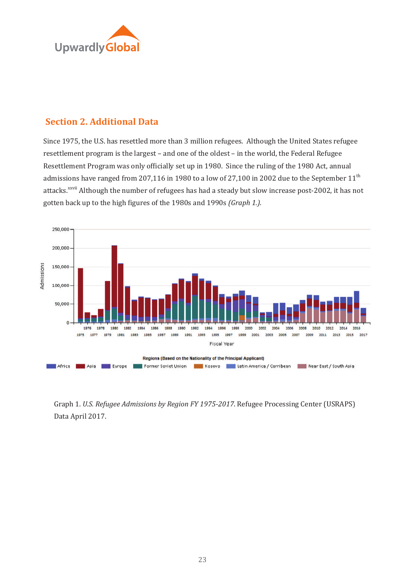

### **Section 2. Additional Data**

Since 1975, the U.S. has resettled more than 3 million refugees. Although the United States refugee resettlement program is the largest – and one of the oldest – in the world, the Federal Refugee Resettlement Program was only officially set up in 1980. Since the ruling of the 1980 Act, annual admissions have ranged from 207,116 in 1980 to a low of 27,100 in 2002 due to the September  $11<sup>th</sup>$ attacks.<sup>xxvii</sup> Although the number of refugees has had a steady but slow increase post-2002, it has not gotten back up to the high �igures of the 1980s and 1990s *(Graph 1.).* 



Graph 1. *U.S. Refugee Admissions by Region FY 1975-2017*. Refugee Processing Center (USRAPS) Data April 2017.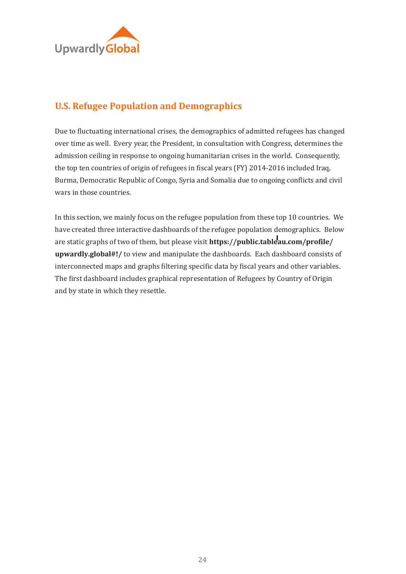

## **U.S. Refugee Population and Demographics**

Due to fluctuating international crises, the demographics of admitted refugees has changed over time as well. Every year, the President, in consultation with Congress, determines the admission ceiling in response to ongoing humanitarian crises in the world. Consequently, the top ten countries of origin of refugees in fiscal years (FY) 2014-2016 included Iraq, Burma, Democratic Republic of Congo, Syria and Somalia due to ongoing conflicts and civil wars in those countries.

In this section, we mainly focus on the refugee population from these top 10 countries. We have created three interactive dashboards of the refugee population demographics. Below are static graphs of two of them, but please visit **[https://public.tableau.com/profile/](https://public.tableau.com/profile/upwardly.global#!/) [upwardly.global#!/](https://public.tableau.com/profile/upwardly.global#!/)** to view and manipulate the dashboards. Each dashboard consists of interconnected maps and graphs filtering specific data by fiscal years and other variables. The first dashboard includes graphical representation of Refugees by Country of Origin and by state in which they resettle.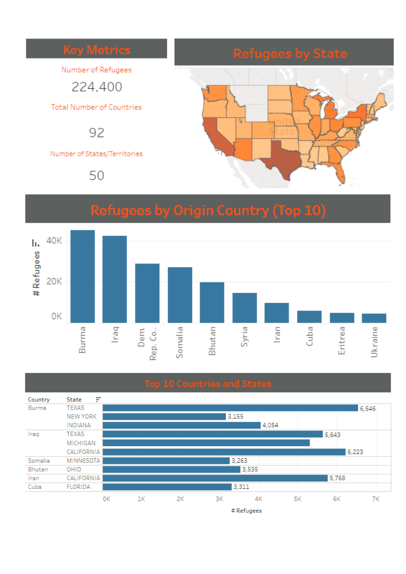

# **Refugees by Origin Country (Top 10)**





# Refugees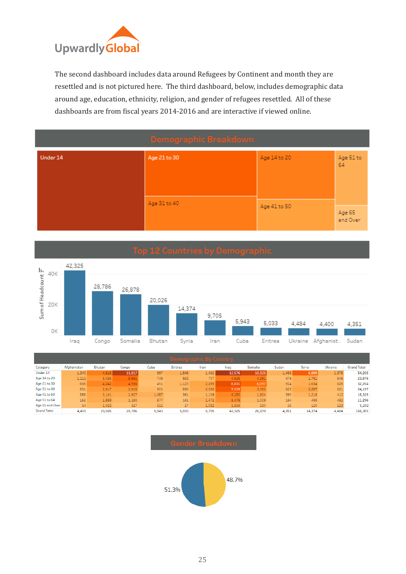

The second dashboard includes data around Refugees by Continent and month they are resettled and is not pictured here. The third dashboard, below, includes demographic data around age, education, ethnicity, religion, and gender of refugees resettled. All of these dashboards are from fiscal years 2014-2016 and are interactive if viewed online.

|          | Demographic Breakdown |              |                    |
|----------|-----------------------|--------------|--------------------|
| Under 14 | Age 21 to 30          | Age 14 to 20 | Age 51 to<br>64    |
|          | Age 31 to 40          | Age 41 to 50 | Age 65<br>and Over |



| Demographic By Country |             |        |        |       |         |       |        |         |       |        |                |                    |
|------------------------|-------------|--------|--------|-------|---------|-------|--------|---------|-------|--------|----------------|--------------------|
| Category               | Afghanistan | Bhutan | Congo  | Cuba  | Eritrea | Iran  | Irao   | Somalia | Sudan | Syria  | <b>Ukraine</b> | <b>Grand Total</b> |
| Under 14               | 1,340       | 4,818  | 11,817 | 997   | 1,548   | 1,062 | 12,576 | 10,325  | 1,458 | 6,889  | 1,375          | 54,205             |
| Age 14 to 20           | 1,111       | 3.026  | 5,661  | 749   | 923     | 707   | 4.625  | 4,291   | 476   | 1,761  | 546            | 23,876             |
| Age 21 to 30           | 836         | 4,242  | 4,956  | 451   | 1,123   | 2,295 | 8,831  | 6,097   | 914   | 1,634  | 825            | 32,204             |
| Age 31 to 40           | 531         | 2,917  | 2,918  | 901   | 890     | 2,028 | 7,119  | 3,052   | 923   | 2,297  | 621            | 24,197             |
| Age 41 to 50           | 356         | 2.141  | 1,927  | 1,457 | 361     | 1,109 | 4,130  | 1,824   | 390   | 1,218  | 412            | 15,325             |
| Age 51 to 64           | 162         | 1,859  | 1,180  | 877   | 161     | 1,472 | 3,475  | 1,009   | 164   | 455    | 482            | 11,296             |
| Age 65 and Over        | 64          | 1,023  | 327    | 511   | 27      | 1,032 | 1,569  | 280     | 26    | 120    | 223            | 5,202              |
| <b>Grand Total</b>     | 4,400       | 20,026 | 28,786 | 5,943 | 5,033   | 9,705 | 42,325 | 26,878  | 4,351 | 14,374 | 4,484          | 166,305            |

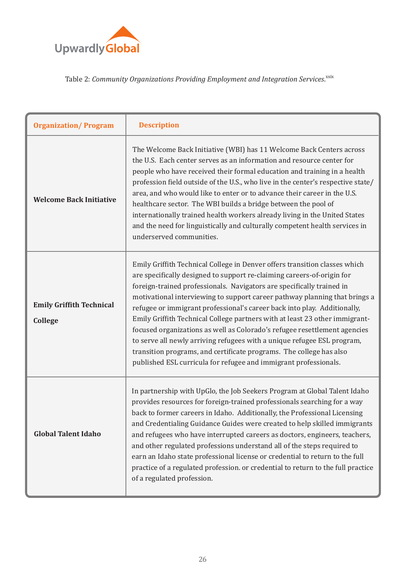

#### Table 2: Community Organizations Providing Employment and Integration Services.<sup>xxix</sup>

| <b>Organization/Program</b>                | <b>Description</b>                                                                                                                                                                                                                                                                                                                                                                                                                                                                                                                                                                                                                                                                                                                                                        |
|--------------------------------------------|---------------------------------------------------------------------------------------------------------------------------------------------------------------------------------------------------------------------------------------------------------------------------------------------------------------------------------------------------------------------------------------------------------------------------------------------------------------------------------------------------------------------------------------------------------------------------------------------------------------------------------------------------------------------------------------------------------------------------------------------------------------------------|
| <b>Welcome Back Initiative</b>             | The Welcome Back Initiative (WBI) has 11 Welcome Back Centers across<br>the U.S. Each center serves as an information and resource center for<br>people who have received their formal education and training in a health<br>profession field outside of the U.S., who live in the center's respective state/<br>area, and who would like to enter or to advance their career in the U.S.<br>healthcare sector. The WBI builds a bridge between the pool of<br>internationally trained health workers already living in the United States<br>and the need for linguistically and culturally competent health services in<br>underserved communities.                                                                                                                      |
| <b>Emily Griffith Technical</b><br>College | Emily Griffith Technical College in Denver offers transition classes which<br>are specifically designed to support re-claiming careers-of-origin for<br>foreign-trained professionals. Navigators are specifically trained in<br>motivational interviewing to support career pathway planning that brings a<br>refugee or immigrant professional's career back into play. Additionally,<br>Emily Griffith Technical College partners with at least 23 other immigrant-<br>focused organizations as well as Colorado's refugee resettlement agencies<br>to serve all newly arriving refugees with a unique refugee ESL program,<br>transition programs, and certificate programs. The college has also<br>published ESL curricula for refugee and immigrant professionals. |
| <b>Global Talent Idaho</b>                 | In partnership with UpGlo, the Job Seekers Program at Global Talent Idaho<br>provides resources for foreign-trained professionals searching for a way<br>back to former careers in Idaho. Additionally, the Professional Licensing<br>and Credentialing Guidance Guides were created to help skilled immigrants<br>and refugees who have interrupted careers as doctors, engineers, teachers,<br>and other regulated professions understand all of the steps required to<br>earn an Idaho state professional license or credential to return to the full<br>practice of a regulated profession. or credential to return to the full practice<br>of a regulated profession.                                                                                                |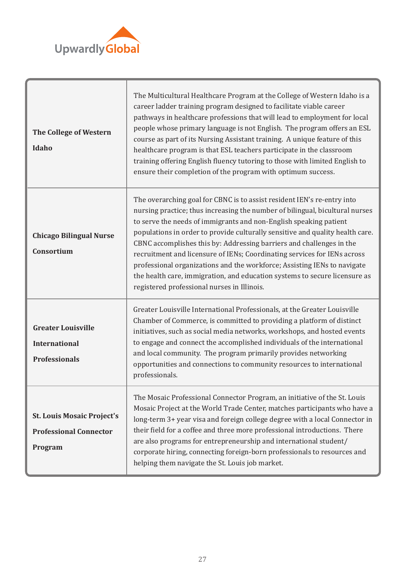

| The College of Western<br>Idaho                                               | The Multicultural Healthcare Program at the College of Western Idaho is a<br>career ladder training program designed to facilitate viable career<br>pathways in healthcare professions that will lead to employment for local<br>people whose primary language is not English. The program offers an ESL<br>course as part of its Nursing Assistant training. A unique feature of this<br>healthcare program is that ESL teachers participate in the classroom<br>training offering English fluency tutoring to those with limited English to<br>ensure their completion of the program with optimum success.                                                              |
|-------------------------------------------------------------------------------|----------------------------------------------------------------------------------------------------------------------------------------------------------------------------------------------------------------------------------------------------------------------------------------------------------------------------------------------------------------------------------------------------------------------------------------------------------------------------------------------------------------------------------------------------------------------------------------------------------------------------------------------------------------------------|
| <b>Chicago Bilingual Nurse</b><br>Consortium                                  | The overarching goal for CBNC is to assist resident IEN's re-entry into<br>nursing practice; thus increasing the number of bilingual, bicultural nurses<br>to serve the needs of immigrants and non-English speaking patient<br>populations in order to provide culturally sensitive and quality health care.<br>CBNC accomplishes this by: Addressing barriers and challenges in the<br>recruitment and licensure of IENs; Coordinating services for IENs across<br>professional organizations and the workforce; Assisting IENs to navigate<br>the health care, immigration, and education systems to secure licensure as<br>registered professional nurses in Illinois. |
| <b>Greater Louisville</b><br><b>International</b><br><b>Professionals</b>     | Greater Louisville International Professionals, at the Greater Louisville<br>Chamber of Commerce, is committed to providing a platform of distinct<br>initiatives, such as social media networks, workshops, and hosted events<br>to engage and connect the accomplished individuals of the international<br>and local community. The program primarily provides networking<br>opportunities and connections to community resources to international<br>professionals.                                                                                                                                                                                                     |
| <b>St. Louis Mosaic Project's</b><br><b>Professional Connector</b><br>Program | The Mosaic Professional Connector Program, an initiative of the St. Louis<br>Mosaic Project at the World Trade Center, matches participants who have a<br>long-term 3+ year visa and foreign college degree with a local Connector in<br>their field for a coffee and three more professional introductions. There<br>are also programs for entrepreneurship and international student/<br>corporate hiring, connecting foreign-born professionals to resources and<br>helping them navigate the St. Louis job market.                                                                                                                                                     |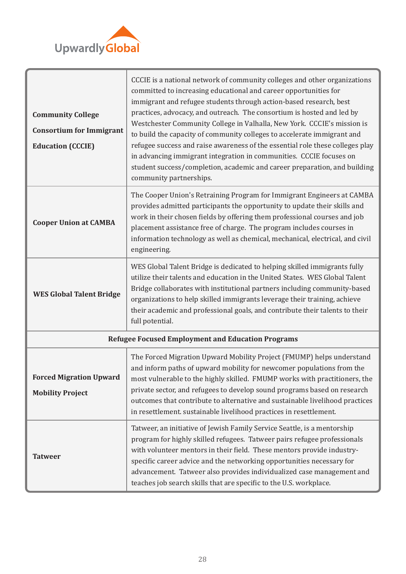

| <b>Community College</b><br><b>Consortium for Immigrant</b><br><b>Education (CCCIE)</b> | CCCIE is a national network of community colleges and other organizations<br>committed to increasing educational and career opportunities for<br>immigrant and refugee students through action-based research, best<br>practices, advocacy, and outreach. The consortium is hosted and led by<br>Westchester Community College in Valhalla, New York. CCCIE's mission is<br>to build the capacity of community colleges to accelerate immigrant and<br>refugee success and raise awareness of the essential role these colleges play<br>in advancing immigrant integration in communities. CCCIE focuses on<br>student success/completion, academic and career preparation, and building<br>community partnerships. |
|-----------------------------------------------------------------------------------------|---------------------------------------------------------------------------------------------------------------------------------------------------------------------------------------------------------------------------------------------------------------------------------------------------------------------------------------------------------------------------------------------------------------------------------------------------------------------------------------------------------------------------------------------------------------------------------------------------------------------------------------------------------------------------------------------------------------------|
| <b>Cooper Union at CAMBA</b>                                                            | The Cooper Union's Retraining Program for Immigrant Engineers at CAMBA<br>provides admitted participants the opportunity to update their skills and<br>work in their chosen fields by offering them professional courses and job<br>placement assistance free of charge. The program includes courses in<br>information technology as well as chemical, mechanical, electrical, and civil<br>engineering.                                                                                                                                                                                                                                                                                                           |
| <b>WES Global Talent Bridge</b>                                                         | WES Global Talent Bridge is dedicated to helping skilled immigrants fully<br>utilize their talents and education in the United States. WES Global Talent<br>Bridge collaborates with institutional partners including community-based<br>organizations to help skilled immigrants leverage their training, achieve<br>their academic and professional goals, and contribute their talents to their<br>full potential.                                                                                                                                                                                                                                                                                               |
|                                                                                         | <b>Refugee Focused Employment and Education Programs</b>                                                                                                                                                                                                                                                                                                                                                                                                                                                                                                                                                                                                                                                            |
| <b>Forced Migration Upward</b><br><b>Mobility Project</b>                               | The Forced Migration Upward Mobility Project (FMUMP) helps understand<br>and inform paths of upward mobility for newcomer populations from the<br>most vulnerable to the highly skilled. FMUMP works with practitioners, the<br>private sector, and refugees to develop sound programs based on research<br>outcomes that contribute to alternative and sustainable livelihood practices<br>in resettlement. sustainable livelihood practices in resettlement.                                                                                                                                                                                                                                                      |
| <b>Tatweer</b>                                                                          | Tatweer, an initiative of Jewish Family Service Seattle, is a mentorship<br>program for highly skilled refugees. Tatweer pairs refugee professionals<br>with volunteer mentors in their field. These mentors provide industry-<br>specific career advice and the networking opportunities necessary for<br>advancement. Tatweer also provides individualized case management and<br>teaches job search skills that are specific to the U.S. workplace.                                                                                                                                                                                                                                                              |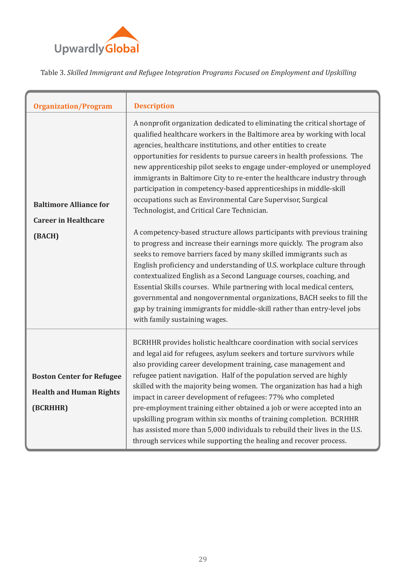

Table 3. *Skilled Immigrant and Refugee Integration Programs Focused on Employment and Upskilling*

| <b>Organization/Program</b>                                                    | <b>Description</b>                                                                                                                                                                                                                                                                                                                                                                                                                                                                                                                                                                                                                                                                                                                                                                                                                                                                                                                                                                                                                                                                                                                                                                                                                                                                        |
|--------------------------------------------------------------------------------|-------------------------------------------------------------------------------------------------------------------------------------------------------------------------------------------------------------------------------------------------------------------------------------------------------------------------------------------------------------------------------------------------------------------------------------------------------------------------------------------------------------------------------------------------------------------------------------------------------------------------------------------------------------------------------------------------------------------------------------------------------------------------------------------------------------------------------------------------------------------------------------------------------------------------------------------------------------------------------------------------------------------------------------------------------------------------------------------------------------------------------------------------------------------------------------------------------------------------------------------------------------------------------------------|
| <b>Baltimore Alliance for</b><br><b>Career in Healthcare</b><br>(BACH)         | A nonprofit organization dedicated to eliminating the critical shortage of<br>qualified healthcare workers in the Baltimore area by working with local<br>agencies, healthcare institutions, and other entities to create<br>opportunities for residents to pursue careers in health professions. The<br>new apprenticeship pilot seeks to engage under-employed or unemployed<br>immigrants in Baltimore City to re-enter the healthcare industry through<br>participation in competency-based apprenticeships in middle-skill<br>occupations such as Environmental Care Supervisor, Surgical<br>Technologist, and Critical Care Technician.<br>A competency-based structure allows participants with previous training<br>to progress and increase their earnings more quickly. The program also<br>seeks to remove barriers faced by many skilled immigrants such as<br>English proficiency and understanding of U.S. workplace culture through<br>contextualized English as a Second Language courses, coaching, and<br>Essential Skills courses. While partnering with local medical centers,<br>governmental and nongovernmental organizations, BACH seeks to fill the<br>gap by training immigrants for middle-skill rather than entry-level jobs<br>with family sustaining wages. |
| <b>Boston Center for Refugee</b><br><b>Health and Human Rights</b><br>(BCRHHR) | BCRHHR provides holistic healthcare coordination with social services<br>and legal aid for refugees, asylum seekers and torture survivors while<br>also providing career development training, case management and<br>refugee patient navigation. Half of the population served are highly<br>skilled with the majority being women. The organization has had a high<br>impact in career development of refugees: 77% who completed<br>pre-employment training either obtained a job or were accepted into an<br>upskilling program within six months of training completion. BCRHHR<br>has assisted more than 5,000 individuals to rebuild their lives in the U.S.<br>through services while supporting the healing and recover process.                                                                                                                                                                                                                                                                                                                                                                                                                                                                                                                                                 |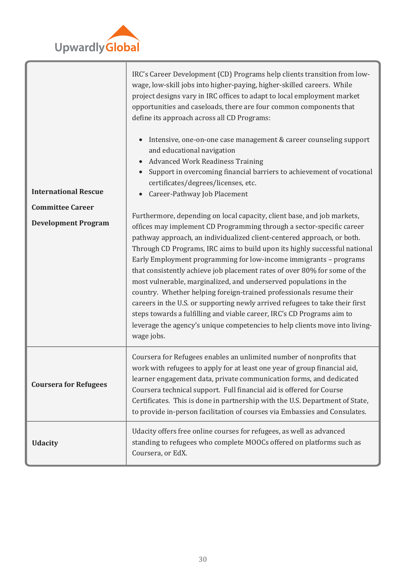

| <b>International Rescue</b>  | IRC's Career Development (CD) Programs help clients transition from low-<br>wage, low-skill jobs into higher-paying, higher-skilled careers. While<br>project designs vary in IRC offices to adapt to local employment market<br>opportunities and caseloads, there are four common components that<br>define its approach across all CD Programs:<br>Intensive, one-on-one case management & career counseling support<br>and educational navigation<br><b>Advanced Work Readiness Training</b><br>Support in overcoming financial barriers to achievement of vocational<br>certificates/degrees/licenses, etc.<br>Career-Pathway Job Placement                                                                                                                                   |  |  |
|------------------------------|------------------------------------------------------------------------------------------------------------------------------------------------------------------------------------------------------------------------------------------------------------------------------------------------------------------------------------------------------------------------------------------------------------------------------------------------------------------------------------------------------------------------------------------------------------------------------------------------------------------------------------------------------------------------------------------------------------------------------------------------------------------------------------|--|--|
| <b>Committee Career</b>      | Furthermore, depending on local capacity, client base, and job markets,                                                                                                                                                                                                                                                                                                                                                                                                                                                                                                                                                                                                                                                                                                            |  |  |
| <b>Development Program</b>   | offices may implement CD Programming through a sector-specific career<br>pathway approach, an individualized client-centered approach, or both.<br>Through CD Programs, IRC aims to build upon its highly successful national<br>Early Employment programming for low-income immigrants - programs<br>that consistently achieve job placement rates of over 80% for some of the<br>most vulnerable, marginalized, and underserved populations in the<br>country. Whether helping foreign-trained professionals resume their<br>careers in the U.S. or supporting newly arrived refugees to take their first<br>steps towards a fulfilling and viable career, IRC's CD Programs aim to<br>leverage the agency's unique competencies to help clients move into living-<br>wage jobs. |  |  |
| <b>Coursera for Refugees</b> | Coursera for Refugees enables an unlimited number of nonprofits that<br>work with refugees to apply for at least one year of group financial aid,<br>learner engagement data, private communication forms, and dedicated<br>Coursera technical support. Full financial aid is offered for Course<br>Certificates. This is done in partnership with the U.S. Department of State,<br>to provide in-person facilitation of courses via Embassies and Consulates.                                                                                                                                                                                                                                                                                                                     |  |  |
| <b>Udacity</b>               | Udacity offers free online courses for refugees, as well as advanced<br>standing to refugees who complete MOOCs offered on platforms such as<br>Coursera, or EdX.                                                                                                                                                                                                                                                                                                                                                                                                                                                                                                                                                                                                                  |  |  |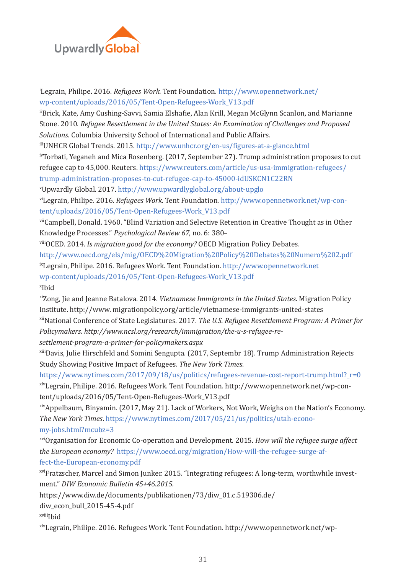

i Legrain, Philipe. 2016. *Refugees Work.* Tent Foundation. [http://www.opennetwork.net/](http://www.opennetwork.net/wp-content/uploads/2016/05/Tent-Open-Refugees-Work_V13.pdf) [wp-content/uploads/2016/05/Tent-Open-Refugees-Work\\_V13.pdf](http://www.opennetwork.net/wp-content/uploads/2016/05/Tent-Open-Refugees-Work_V13.pdf) iiBrick, Kate, Amy Cushing-Savvi, Samia Elsha�ie, Alan Krill, Megan McGlynn Scanlon, and Marianne Stone. 2010. *Refugee Resettlement in the United States: An Examination of Challenges and Proposed Solutions.* Columbia University School of International and Public Affairs. iiiUNHCR Global Trends. 2015. [http://www.unhcr.org/en-us/�igures-at-a-glance.html](http://www.unhcr.org/en-us/figures-at-a-glance.html) ivTorbati, Yeganeh and Mica Rosenberg. (2017, September 27). Trump administration proposes to cut refugee cap to 45,000. Reuters. [https://www.reuters.com/article/us-usa-immigration-refugees/](https://www.reuters.com/article/us-usa-immigration-refugees/trump-administration-proposes-to-cut-refugee-cap-to-45000-idUSKCN1C22RN) [trump-administration-proposes-to-cut-refugee-cap-to-45000-idUSKCN1C22RN](https://www.reuters.com/article/us-usa-immigration-refugees/trump-administration-proposes-to-cut-refugee-cap-to-45000-idUSKCN1C22RN) v Upwardly Global. 2017.<http://www.upwardlyglobal.org/about-upglo> viLegrain, Philipe. 2016. *Refugees Work.* Tent Foundation. [http://www.opennetwork.net/wp-con](http://www.opennetwork.net/wp-content/uploads/2016/05/Tent-Open-Refugees-Work_V13.pdf)[tent/uploads/2016/05/Tent-Open-Refugees-Work\\_V13.pdf](http://www.opennetwork.net/wp-content/uploads/2016/05/Tent-Open-Refugees-Work_V13.pdf) viiCampbell, Donald. 1960. "Blind Variation and Selective Retention in Creative Thought as in Other Knowledge Processes." *Psychological Review 67*, no. 6: 380– viiiOCED. 2014. *Is migration good for the economy?* OECD Migration Policy Debates. <http://www.oecd.org/els/mig/OECD%20Migration%20Policy%20Debates%20Numero%202.pdf> ixLegrain, Philipe. 2016. Refugees Work. Tent Foundation. [http://www.opennetwork.net](http://www.opennetwork.net/wp-content/uploads/2016/05/Tent-Open-Refugees-Work_V13.pdf)

[wp-content/uploads/2016/05/Tent-Open-Refugees-Work\\_V13.pdf](http://www.opennetwork.net/wp-content/uploads/2016/05/Tent-Open-Refugees-Work_V13.pdf) x Ibid

xiZong, Jie and Jeanne Batalova. 2014. *Vietnamese Immigrants in the United States*. Migration Policy Institute. http://www. migrationpolicy.org/article/vietnamese-immigrants-united-states xiiNational Conference of State Legislatures. 2017. *The U.S. Refugee Resettlement Program: A Primer for Policymakers. http://www.ncsl.org/research/immigration/the-u-s-refugee-resettlement-program-a-primer-for-policymakers.aspx*

xiiiDavis, Julie Hirschfeld and Somini Sengupta. (2017, Septembr 18). Trump Administration Rejects Study Showing Positive Impact of Refugees. *The New York Times*.

[https://www.nytimes.com/2017/09/18/us/politics/refugees-revenue-cost-report-trump.html?\\_r=0](https://www.nytimes.com/2017/09/18/us/politics/refugees-revenue-cost-report-trump.html?_r=0) xivLegrain, Philipe. 2016. Refugees Work. Tent Foundation. http://www.opennetwork.net/wp-content/uploads/2016/05/Tent-Open-Refugees-Work\_V13.pdf

xivAppelbaum, Binyamin. (2017, May 21). Lack of Workers, Not Work, Weighs on the Nation's Economy. *The New York Times*. [https://www.nytimes.com/2017/05/21/us/politics/utah-econo](https://www.nytimes.com/2017/05/21/us/politics/utah-economy-jobs.html?mcubz=3)[my-jobs.html?mcubz=3](https://www.nytimes.com/2017/05/21/us/politics/utah-economy-jobs.html?mcubz=3)

xviOrganisation for Economic Co-operation and Development. 2015. *How will the refugee surge affect the European economy?* [https://www.oecd.org/migration/How-will-the-refugee-surge-af](https://www.oecd.org/migration/How-will-the-refugee-surge-affect-the-European-economy.pdf)[fect-the-European-economy.pdf](https://www.oecd.org/migration/How-will-the-refugee-surge-affect-the-European-economy.pdf)

xviFratzscher, Marcel and Simon Junker. 2015. "Integrating refugees: A long-term, worthwhile investment." *DIW Economic Bulletin 45+46.2015.*

https://www.diw.de/documents/publikationen/73/diw\_01.c.519306.de/

diw\_econ\_bull\_2015-45-4.pdf

xviii<sub>Ibid</sub>

xixLegrain, Philipe. 2016. Refugees Work. Tent Foundation. http://www.opennetwork.net/wp-